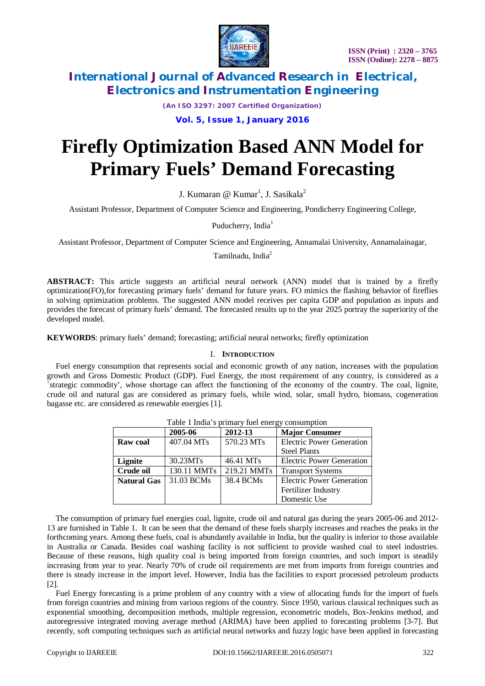

*(An ISO 3297: 2007 Certified Organization)*

### **Vol. 5, Issue 1, January 2016**

# **Firefly Optimization Based ANN Model for Primary Fuels' Demand Forecasting**

J. Kumaran @ Kumar<sup>1</sup>, J. Sasikala<sup>2</sup>

Assistant Professor, Department of Computer Science and Engineering, Pondicherry Engineering College,

Puducherry, India<sup>1</sup>

Assistant Professor, Department of Computer Science and Engineering, Annamalai University, Annamalainagar,

Tamilnadu, India $2$ 

**ABSTRACT:** This article suggests an artificial neural network (ANN) model that is trained by a firefly optimization(FO),for forecasting primary fuels' demand for future years. FO mimics the flashing behavior of fireflies in solving optimization problems. The suggested ANN model receives per capita GDP and population as inputs and provides the forecast of primary fuels' demand. The forecasted results up to the year 2025 portray the superiority of the developed model.

**KEYWORDS**: primary fuels' demand; forecasting; artificial neural networks; firefly optimization

#### I. **INTRODUCTION**

Fuel energy consumption that represents social and economic growth of any nation, increases with the population growth and Gross Domestic Product (GDP). Fuel Energy, the most requirement of any country, is considered as a `strategic commodity', whose shortage can affect the functioning of the economy of the country. The coal, lignite, crude oil and natural gas are considered as primary fuels, while wind, solar, small hydro, biomass, cogeneration bagasse etc. are considered as renewable energies [1].

| I avic 1 mula 3 primary fuel chergy consumption |             |             |                                  |  |  |  |
|-------------------------------------------------|-------------|-------------|----------------------------------|--|--|--|
|                                                 | 2005-06     | 2012-13     | <b>Major Consumer</b>            |  |  |  |
| Raw coal                                        | 407.04 MTs  | 570.23 MTs  | <b>Electric Power Generation</b> |  |  |  |
|                                                 |             |             | <b>Steel Plants</b>              |  |  |  |
| Lignite                                         | 30.23MTs    | 46.41 MTs   | <b>Electric Power Generation</b> |  |  |  |
| Crude oil                                       | 130.11 MMTs | 219.21 MMTs | <b>Transport Systems</b>         |  |  |  |
| <b>Natural Gas</b>                              | 31.03 BCMs  | 38.4 BCMs   | <b>Electric Power Generation</b> |  |  |  |
|                                                 |             |             | Fertilizer Industry              |  |  |  |
|                                                 |             |             | Domestic Use                     |  |  |  |

Table 1 India's primary fuel energy consumption

The consumption of primary fuel energies coal, lignite, crude oil and natural gas during the years 2005-06 and 2012- 13 are furnished in Table 1. It can be seen that the demand of these fuels sharply increases and reaches the peaks in the forthcoming years. Among these fuels, coal is abundantly available in India, but the quality is inferior to those available in Australia or Canada. Besides coal washing facility is not sufficient to provide washed coal to steel industries. Because of these reasons, high quality coal is being imported from foreign countries, and such import is steadily increasing from year to year. Nearly 70% of crude oil requirements are met from imports from foreign countries and there is steady increase in the import level. However, India has the facilities to export processed petroleum products [2].

Fuel Energy forecasting is a prime problem of any country with a view of allocating funds for the import of fuels from foreign countries and mining from various regions of the country. Since 1950, various classical techniques such as exponential smoothing, decomposition methods, multiple regression, econometric models, Box-Jenkins method, and autoregressive integrated moving average method (ARIMA) have been applied to forecasting problems [3-7]. But recently, soft computing techniques such as artificial neural networks and fuzzy logic have been applied in forecasting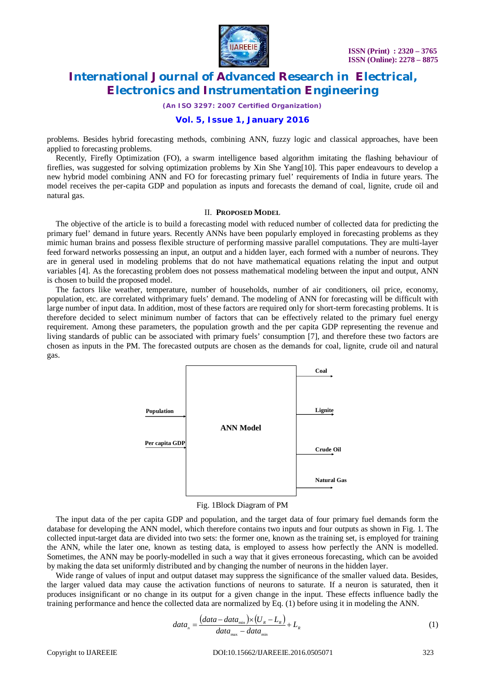

*(An ISO 3297: 2007 Certified Organization)*

### **Vol. 5, Issue 1, January 2016**

problems. Besides hybrid forecasting methods, combining ANN, fuzzy logic and classical approaches, have been applied to forecasting problems.

Recently, Firefly Optimization (FO), a swarm intelligence based algorithm imitating the flashing behaviour of fireflies, was suggested for solving optimization problems by Xin She Yang[10]. This paper endeavours to develop a new hybrid model combining ANN and FO for forecasting primary fuel' requirements of India in future years. The model receives the per-capita GDP and population as inputs and forecasts the demand of coal, lignite, crude oil and natural gas.

#### II. **PROPOSED MODEL**

The objective of the article is to build a forecasting model with reduced number of collected data for predicting the primary fuel' demand in future years. Recently ANNs have been popularly employed in forecasting problems as they mimic human brains and possess flexible structure of performing massive parallel computations. They are multi-layer feed forward networks possessing an input, an output and a hidden layer, each formed with a number of neurons. They are in general used in modeling problems that do not have mathematical equations relating the input and output variables [4]. As the forecasting problem does not possess mathematical modeling between the input and output, ANN is chosen to build the proposed model.

The factors like weather, temperature, number of households, number of air conditioners, oil price, economy, population, etc. are correlated withprimary fuels' demand. The modeling of ANN for forecasting will be difficult with large number of input data. In addition, most of these factors are required only for short-term forecasting problems. It is therefore decided to select minimum number of factors that can be effectively related to the primary fuel energy requirement. Among these parameters, the population growth and the per capita GDP representing the revenue and living standards of public can be associated with primary fuels' consumption [7], and therefore these two factors are chosen as inputs in the PM. The forecasted outputs are chosen as the demands for coal, lignite, crude oil and natural gas.



Fig. 1Block Diagram of PM

The input data of the per capita GDP and population, and the target data of four primary fuel demands form the database for developing the ANN model, which therefore contains two inputs and four outputs as shown in Fig. 1. The collected input-target data are divided into two sets: the former one, known as the training set, is employed for training the ANN, while the later one, known as testing data, is employed to assess how perfectly the ANN is modelled. Sometimes, the ANN may be poorly-modelled in such a way that it gives erroneous forecasting, which can be avoided by making the data set uniformly distributed and by changing the number of neurons in the hidden layer.

Wide range of values of input and output dataset may suppress the significance of the smaller valued data. Besides, the larger valued data may cause the activation functions of neurons to saturate. If a neuron is saturated, then it produces insignificant or no change in its output for a given change in the input. These effects influence badly the training performance and hence the collected data are normalized by Eq. (1) before using it in modeling the ANN.

$$
data_n = \frac{(data - data_{\min}) \times (U_R - L_R)}{data_{\max} - data_{\min}} + L_R
$$
\n(1)

Copyright to IJAREEIE DOI:10.15662/IJAREEIE.2016.0505071 323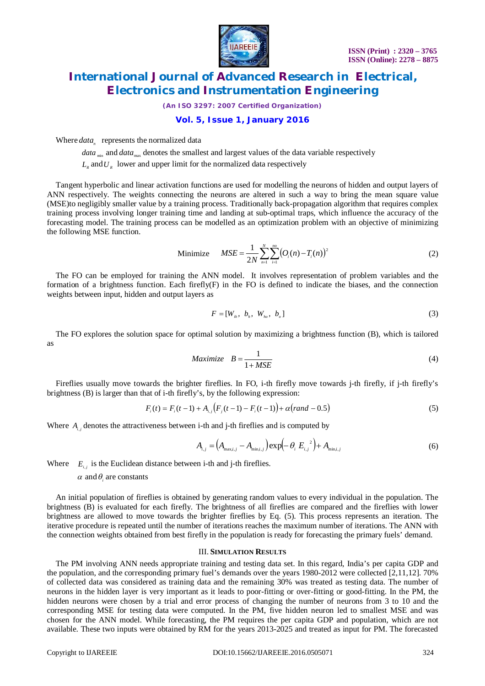

*(An ISO 3297: 2007 Certified Organization)*

### **Vol. 5, Issue 1, January 2016**

Where  $data_n$  represents the normalized data

*data* <sub>min</sub> and *data* <sub>max</sub> denotes the smallest and largest values of the data variable respectively  $L_{R}$  and  $U_{R}$  lower and upper limit for the normalized data respectively

Tangent hyperbolic and linear activation functions are used for modelling the neurons of hidden and output layers of ANN respectively. The weights connecting the neurons are altered in such a way to bring the mean square value (MSE)to negligibly smaller value by a training process. Traditionally back-propagation algorithm that requires complex training process involving longer training time and landing at sub-optimal traps, which influence the accuracy of the forecasting model. The training process can be modelled as an optimization problem with an objective of minimizing the following MSE function.

Minimize 
$$
MSE = \frac{1}{2N} \sum_{n=1}^{N} \sum_{i=1}^{n0} (O_i(n) - T_i(n))^2
$$
 (2)

The FO can be employed for training the ANN model. It involves representation of problem variables and the formation of a brightness function. Each firefly(F) in the FO is defined to indicate the biases, and the connection weights between input, hidden and output layers as

$$
F = [W_{i_h}, b_h, W_{i_o}, b_o]
$$
\n
$$
(3)
$$

The FO explores the solution space for optimal solution by maximizing a brightness function (B), which is tailored as

$$
Maximize \tB = \frac{1}{1 + MSE} \t(4)
$$

Fireflies usually move towards the brighter fireflies. In FO, i-th firefly move towards j-th firefly, if j-th firefly's brightness (B) is larger than that of i-th firefly's, by the following expression:

$$
F_i(t) = F_i(t-1) + A_{i,j}(F_j(t-1) - F_i(t-1)) + \alpha (rand - 0.5)
$$
\n(5)

Where  $A_{i,j}$  denotes the attractiveness between i-th and j-th fireflies and is computed by

$$
A_{i,j} = (A_{\max,i,j} - A_{\min,i,j}) \exp(-\theta_i E_{i,j}^2) + A_{\min,i,j}
$$
 (6)

Where  $E_{i,j}$  is the Euclidean distance between i-th and j-th fireflies.

 $\alpha$  and  $\theta$ <sub>*i*</sub> are constants

An initial population of fireflies is obtained by generating random values to every individual in the population. The brightness (B) is evaluated for each firefly. The brightness of all fireflies are compared and the fireflies with lower brightness are allowed to move towards the brighter fireflies by Eq. (5). This process represents an iteration. The iterative procedure is repeated until the number of iterations reaches the maximum number of iterations. The ANN with the connection weights obtained from best firefly in the population is ready for forecasting the primary fuels' demand.

#### III. **SIMULATION RESULTS**

The PM involving ANN needs appropriate training and testing data set. In this regard, India's per capita GDP and the population, and the corresponding primary fuel's demands over the years 1980-2012 were collected [2,11,12]. 70% of collected data was considered as training data and the remaining 30% was treated as testing data. The number of neurons in the hidden layer is very important as it leads to poor-fitting or over-fitting or good-fitting. In the PM, the hidden neurons were chosen by a trial and error process of changing the number of neurons from 3 to 10 and the corresponding MSE for testing data were computed. In the PM, five hidden neuron led to smallest MSE and was chosen for the ANN model. While forecasting, the PM requires the per capita GDP and population, which are not available. These two inputs were obtained by RM for the years 2013-2025 and treated as input for PM. The forecasted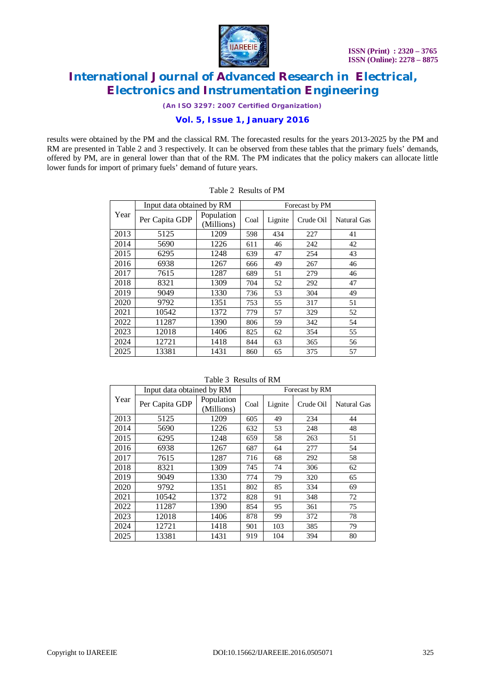

*(An ISO 3297: 2007 Certified Organization)*

### **Vol. 5, Issue 1, January 2016**

results were obtained by the PM and the classical RM. The forecasted results for the years 2013-2025 by the PM and RM are presented in Table 2 and 3 respectively. It can be observed from these tables that the primary fuels' demands, offered by PM, are in general lower than that of the RM. The PM indicates that the policy makers can allocate little lower funds for import of primary fuels' demand of future years.

| Input data obtained by RM |                |                          | Forecast by PM |         |           |                    |
|---------------------------|----------------|--------------------------|----------------|---------|-----------|--------------------|
| Year                      | Per Capita GDP | Population<br>(Millions) | Coal           | Lignite | Crude Oil | <b>Natural Gas</b> |
| 2013                      | 5125           | 1209                     | 598            | 434     | 227       | 41                 |
| 2014                      | 5690           | 1226                     | 611            | 46      | 242       | 42                 |
| 2015                      | 6295           | 1248                     | 639            | 47      | 254       | 43                 |
| 2016                      | 6938           | 1267                     | 666            | 49      | 267       | 46                 |
| 2017                      | 7615           | 1287                     | 689            | 51      | 279       | 46                 |
| 2018                      | 8321           | 1309                     | 704            | 52      | 292       | 47                 |
| 2019                      | 9049           | 1330                     | 736            | 53      | 304       | 49                 |
| 2020                      | 9792           | 1351                     | 753            | 55      | 317       | 51                 |
| 2021                      | 10542          | 1372                     | 779            | 57      | 329       | 52                 |
| 2022                      | 11287          | 1390                     | 806            | 59      | 342       | 54                 |
| 2023                      | 12018          | 1406                     | 825            | 62      | 354       | 55                 |
| 2024                      | 12721          | 1418                     | 844            | 63      | 365       | 56                 |
| 2025                      | 13381          | 1431                     | 860            | 65      | 375       | 57                 |

|--|

|      | Input data obtained by RM |                          | Forecast by RM |         |           |             |
|------|---------------------------|--------------------------|----------------|---------|-----------|-------------|
| Year | Per Capita GDP            | Population<br>(Millions) | Coal           | Lignite | Crude Oil | Natural Gas |
| 2013 | 5125                      | 1209                     | 605            | 49      | 234       | 44          |
| 2014 | 5690                      | 1226                     | 632            | 53      | 248       | 48          |
| 2015 | 6295                      | 1248                     | 659            | 58      | 263       | 51          |
| 2016 | 6938                      | 1267                     | 687            | 64      | 277       | 54          |
| 2017 | 7615                      | 1287                     | 716            | 68      | 292       | 58          |
| 2018 | 8321                      | 1309                     | 745            | 74      | 306       | 62          |
| 2019 | 9049                      | 1330                     | 774            | 79      | 320       | 65          |
| 2020 | 9792                      | 1351                     | 802            | 85      | 334       | 69          |
| 2021 | 10542                     | 1372                     | 828            | 91      | 348       | 72          |
| 2022 | 11287                     | 1390                     | 854            | 95      | 361       | 75          |
| 2023 | 12018                     | 1406                     | 878            | 99      | 372       | 78          |
| 2024 | 12721                     | 1418                     | 901            | 103     | 385       | 79          |

2025 | 13381 | 1431 | 919 | 104 | 394 | 80

Table 3 Results of RM